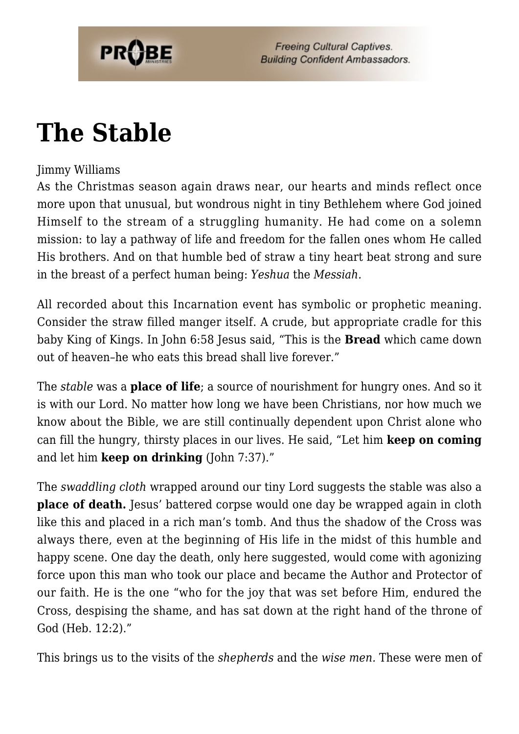

## **[The Stable](https://probe.org/the-stable/)**

## Jimmy Williams

As the Christmas season again draws near, our hearts and minds reflect once more upon that unusual, but wondrous night in tiny Bethlehem where God joined Himself to the stream of a struggling humanity. He had come on a solemn mission: to lay a pathway of life and freedom for the fallen ones whom He called His brothers. And on that humble bed of straw a tiny heart beat strong and sure in the breast of a perfect human being: *Yeshua* the *Messiah.*

All recorded about this Incarnation event has symbolic or prophetic meaning. Consider the straw filled manger itself. A crude, but appropriate cradle for this baby King of Kings. In John 6:58 Jesus said, "This is the **Bread** which came down out of heaven–he who eats this bread shall live forever."

The *stable* was a **place of life**; a source of nourishment for hungry ones. And so it is with our Lord. No matter how long we have been Christians, nor how much we know about the Bible, we are still continually dependent upon Christ alone who can fill the hungry, thirsty places in our lives. He said, "Let him **keep on coming** and let him **keep on drinking** (John 7:37)."

The *swaddling cloth* wrapped around our tiny Lord suggests the stable was also a **place of death.** Jesus' battered corpse would one day be wrapped again in cloth like this and placed in a rich man's tomb. And thus the shadow of the Cross was always there, even at the beginning of His life in the midst of this humble and happy scene. One day the death, only here suggested, would come with agonizing force upon this man who took our place and became the Author and Protector of our faith. He is the one "who for the joy that was set before Him, endured the Cross, despising the shame, and has sat down at the right hand of the throne of God (Heb. 12:2)."

This brings us to the visits of the *shepherds* and the *wise men.* These were men of